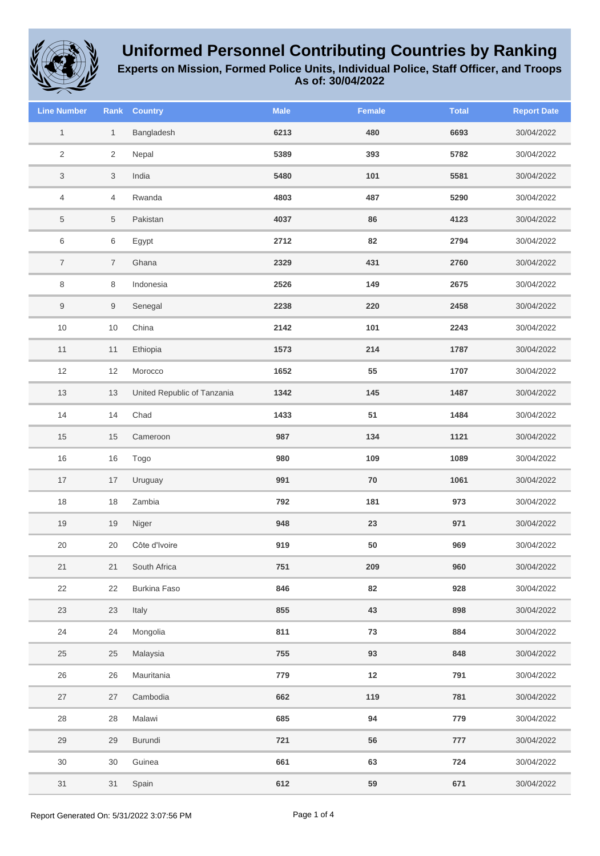

**Experts on Mission, Formed Police Units, Individual Police, Staff Officer, and Troops**

| <b>Line Number</b>        | Rank           | <b>Country</b>              | <b>Male</b> | <b>Female</b> | <b>Total</b> | <b>Report Date</b> |
|---------------------------|----------------|-----------------------------|-------------|---------------|--------------|--------------------|
| $\mathbf{1}$              | $\mathbf{1}$   | Bangladesh                  | 6213        | 480           | 6693         | 30/04/2022         |
| $\sqrt{2}$                | $\overline{2}$ | Nepal                       | 5389        | 393           | 5782         | 30/04/2022         |
| $\ensuremath{\mathsf{3}}$ | 3              | India                       | 5480        | 101           | 5581         | 30/04/2022         |
| $\overline{4}$            | 4              | Rwanda                      | 4803        | 487           | 5290         | 30/04/2022         |
| $\,$ 5 $\,$               | $\overline{5}$ | Pakistan                    | 4037        | 86            | 4123         | 30/04/2022         |
| 6                         | $\,6$          | Egypt                       | 2712        | 82            | 2794         | 30/04/2022         |
| $\overline{7}$            | $\overline{7}$ | Ghana                       | 2329        | 431           | 2760         | 30/04/2022         |
| $\,8\,$                   | 8              | Indonesia                   | 2526        | 149           | 2675         | 30/04/2022         |
| $9\,$                     | $9\,$          | Senegal                     | 2238        | 220           | 2458         | 30/04/2022         |
| $10$                      | $10$           | China                       | 2142        | 101           | 2243         | 30/04/2022         |
| 11                        | 11             | Ethiopia                    | 1573        | 214           | 1787         | 30/04/2022         |
| 12                        | 12             | Morocco                     | 1652        | 55            | 1707         | 30/04/2022         |
| $13$                      | 13             | United Republic of Tanzania | 1342        | 145           | 1487         | 30/04/2022         |
| 14                        | 14             | Chad                        | 1433        | 51            | 1484         | 30/04/2022         |
| $15$                      | 15             | Cameroon                    | 987         | 134           | 1121         | 30/04/2022         |
| 16                        | 16             | Togo                        | 980         | 109           | 1089         | 30/04/2022         |
| $17$                      | 17             | Uruguay                     | 991         | 70            | 1061         | 30/04/2022         |
| $18$                      | 18             | Zambia                      | 792         | 181           | 973          | 30/04/2022         |
| 19                        | 19             | Niger                       | 948         | 23            | 971          | 30/04/2022         |
| 20                        | 20             | Côte d'Ivoire               | 919         | 50            | 969          | 30/04/2022         |
| 21                        | 21             | South Africa                | 751         | 209           | 960          | 30/04/2022         |
| 22                        | 22             | <b>Burkina Faso</b>         | 846         | 82            | 928          | 30/04/2022         |
| 23                        | 23             | Italy                       | 855         | 43            | 898          | 30/04/2022         |
| 24                        | 24             | Mongolia                    | 811         | 73            | 884          | 30/04/2022         |
| 25                        | $25\,$         | Malaysia                    | 755         | 93            | 848          | 30/04/2022         |
| 26                        | 26             | Mauritania                  | 779         | 12            | 791          | 30/04/2022         |
| 27                        | 27             | Cambodia                    | 662         | 119           | 781          | 30/04/2022         |
| 28                        | 28             | Malawi                      | 685         | 94            | 779          | 30/04/2022         |
| 29                        | 29             | Burundi                     | 721         | 56            | 777          | 30/04/2022         |
| $30\,$                    | 30             | Guinea                      | 661         | 63            | 724          | 30/04/2022         |
| 31                        | 31             | Spain                       | 612         | 59            | 671          | 30/04/2022         |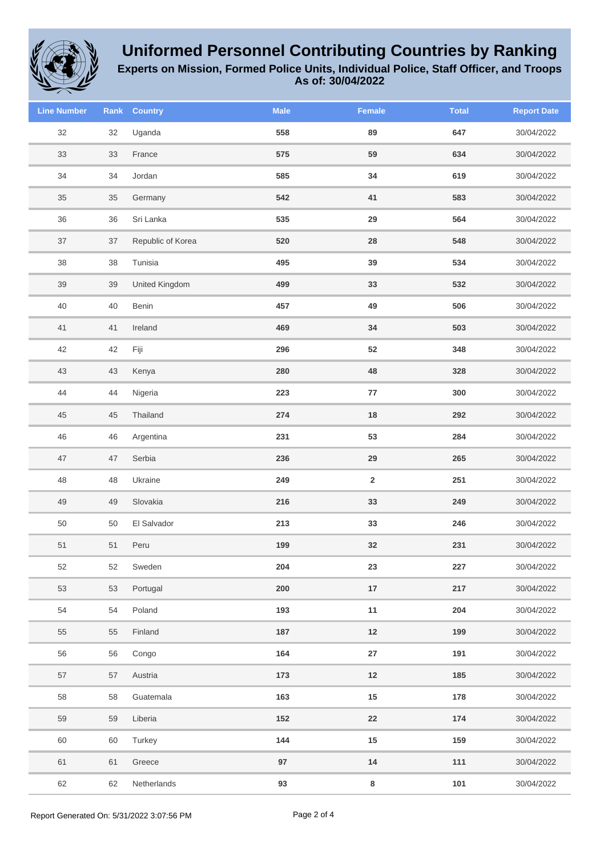

**Experts on Mission, Formed Police Units, Individual Police, Staff Officer, and Troops**

| <b>Line Number</b> | Rank | <b>Country</b>    | <b>Male</b> | Female                  | <b>Total</b> | <b>Report Date</b> |
|--------------------|------|-------------------|-------------|-------------------------|--------------|--------------------|
| 32                 | 32   | Uganda            | 558         | 89                      | 647          | 30/04/2022         |
| 33                 | 33   | France            | 575         | 59                      | 634          | 30/04/2022         |
| 34                 | 34   | Jordan            | 585         | 34                      | 619          | 30/04/2022         |
| 35                 | 35   | Germany           | 542         | 41                      | 583          | 30/04/2022         |
| $36\,$             | 36   | Sri Lanka         | 535         | 29                      | 564          | 30/04/2022         |
| 37                 | 37   | Republic of Korea | 520         | 28                      | 548          | 30/04/2022         |
| 38                 | 38   | Tunisia           | 495         | 39                      | 534          | 30/04/2022         |
| 39                 | 39   | United Kingdom    | 499         | 33                      | 532          | 30/04/2022         |
| 40                 | 40   | Benin             | 457         | 49                      | 506          | 30/04/2022         |
| 41                 | 41   | Ireland           | 469         | 34                      | 503          | 30/04/2022         |
| 42                 | 42   | Fiji              | 296         | 52                      | 348          | 30/04/2022         |
| 43                 | 43   | Kenya             | 280         | 48                      | 328          | 30/04/2022         |
| 44                 | 44   | Nigeria           | 223         | 77                      | 300          | 30/04/2022         |
| 45                 | 45   | Thailand          | 274         | $18\,$                  | 292          | 30/04/2022         |
| 46                 | 46   | Argentina         | 231         | 53                      | 284          | 30/04/2022         |
| 47                 | 47   | Serbia            | 236         | 29                      | 265          | 30/04/2022         |
| 48                 | 48   | Ukraine           | 249         | $\overline{\mathbf{2}}$ | 251          | 30/04/2022         |
| 49                 | 49   | Slovakia          | 216         | 33                      | 249          | 30/04/2022         |
| 50                 | 50   | El Salvador       | 213         | 33                      | 246          | 30/04/2022         |
| 51                 | 51   | Peru              | 199         | 32                      | 231          | 30/04/2022         |
| 52                 | 52   | Sweden            | 204         | 23                      | 227          | 30/04/2022         |
| 53                 | 53   | Portugal          | 200         | 17                      | 217          | 30/04/2022         |
| 54                 | 54   | Poland            | 193         | 11                      | 204          | 30/04/2022         |
| 55                 | 55   | Finland           | 187         | $12$                    | 199          | 30/04/2022         |
| 56                 | 56   | Congo             | 164         | ${\bf 27}$              | 191          | 30/04/2022         |
| 57                 | 57   | Austria           | 173         | $12$                    | 185          | 30/04/2022         |
| 58                 | 58   | Guatemala         | 163         | $15\,$                  | 178          | 30/04/2022         |
| 59                 | 59   | Liberia           | 152         | ${\bf 22}$              | 174          | 30/04/2022         |
| 60                 | 60   | Turkey            | 144         | $15\,$                  | 159          | 30/04/2022         |
| 61                 | 61   | Greece            | 97          | $14$                    | 111          | 30/04/2022         |
| 62                 | 62   | Netherlands       | 93          | 8                       | 101          | 30/04/2022         |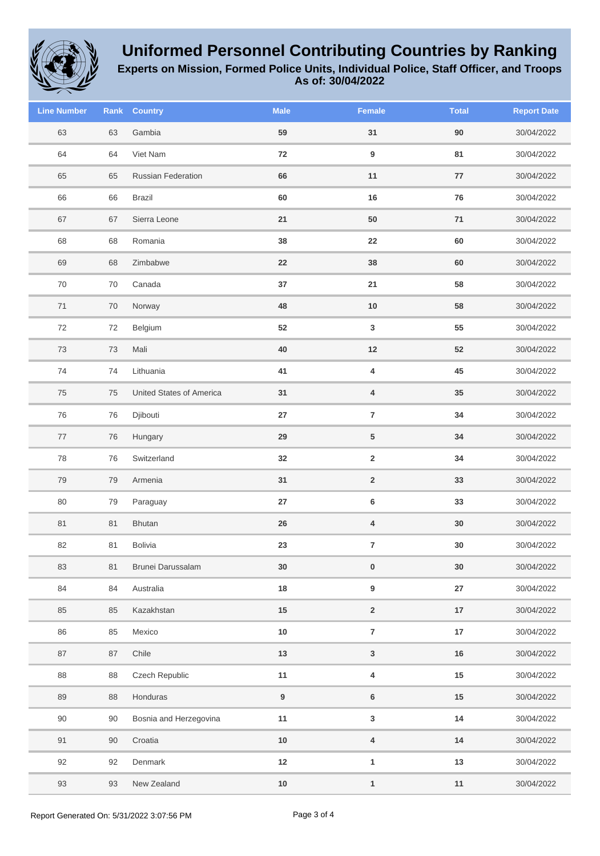

**Experts on Mission, Formed Police Units, Individual Police, Staff Officer, and Troops**

**As of: 30/04/2022**

| <b>Line Number</b> | Rank   | <b>Country</b>           | <b>Male</b> | Female                  | <b>Total</b> | <b>Report Date</b> |
|--------------------|--------|--------------------------|-------------|-------------------------|--------------|--------------------|
| 63                 | 63     | Gambia                   | 59          | 31                      | 90           | 30/04/2022         |
| 64                 | 64     | Viet Nam                 | 72          | 9                       | 81           | 30/04/2022         |
| 65                 | 65     | Russian Federation       | 66          | 11                      | ${\bf 77}$   | 30/04/2022         |
| 66                 | 66     | <b>Brazil</b>            | 60          | 16                      | 76           | 30/04/2022         |
| 67                 | 67     | Sierra Leone             | 21          | 50                      | 71           | 30/04/2022         |
| 68                 | 68     | Romania                  | 38          | 22                      | 60           | 30/04/2022         |
| 69                 | 68     | Zimbabwe                 | 22          | 38                      | 60           | 30/04/2022         |
| $70\,$             | $70\,$ | Canada                   | $37\,$      | 21                      | 58           | 30/04/2022         |
| $71$               | 70     | Norway                   | 48          | $10\,$                  | 58           | 30/04/2022         |
| 72                 | 72     | Belgium                  | 52          | $\mathbf 3$             | 55           | 30/04/2022         |
| 73                 | 73     | Mali                     | 40          | $12$                    | 52           | 30/04/2022         |
| 74                 | 74     | Lithuania                | 41          | 4                       | 45           | 30/04/2022         |
| 75                 | 75     | United States of America | 31          | 4                       | $35\,$       | 30/04/2022         |
| 76                 | 76     | Djibouti                 | ${\bf 27}$  | $\bf 7$                 | 34           | 30/04/2022         |
| 77                 | 76     | Hungary                  | 29          | 5                       | 34           | 30/04/2022         |
| 78                 | 76     | Switzerland              | 32          | $\mathbf 2$             | 34           | 30/04/2022         |
| 79                 | 79     | Armenia                  | 31          | $\overline{\mathbf{2}}$ | 33           | 30/04/2022         |
| 80                 | 79     | Paraguay                 | ${\bf 27}$  | 6                       | 33           | 30/04/2022         |
| 81                 | 81     | Bhutan                   | ${\bf 26}$  | $\overline{\mathbf{4}}$ | 30           | 30/04/2022         |
| 82                 | 81     | Bolivia                  | 23          | $\overline{\mathbf{7}}$ | 30           | 30/04/2022         |
| 83                 | 81     | Brunei Darussalam        | $30\,$      | $\pmb{0}$               | $30\,$       | 30/04/2022         |
| 84                 | 84     | Australia                | 18          | 9                       | ${\bf 27}$   | 30/04/2022         |
| 85                 | 85     | Kazakhstan               | 15          | $\mathbf 2$             | 17           | 30/04/2022         |
| 86                 | 85     | Mexico                   | $10\,$      | $\overline{7}$          | $17\,$       | 30/04/2022         |
| 87                 | $87\,$ | Chile                    | $13$        | $\mathsf 3$             | $16\,$       | 30/04/2022         |
| 88                 | 88     | Czech Republic           | 11          | $\overline{\mathbf{4}}$ | $15\,$       | 30/04/2022         |
| 89                 | 88     | Honduras                 | 9           | 6                       | $15\,$       | 30/04/2022         |
| 90                 | 90     | Bosnia and Herzegovina   | 11          | $\mathbf 3$             | 14           | 30/04/2022         |
| 91                 | $90\,$ | Croatia                  | $10\,$      | $\overline{\mathbf{4}}$ | 14           | 30/04/2022         |
| 92                 | 92     | Denmark                  | $12\,$      | $\mathbf{1}$            | 13           | 30/04/2022         |
| 93                 | 93     | New Zealand              | $10\,$      | $\mathbf{1}$            | 11           | 30/04/2022         |